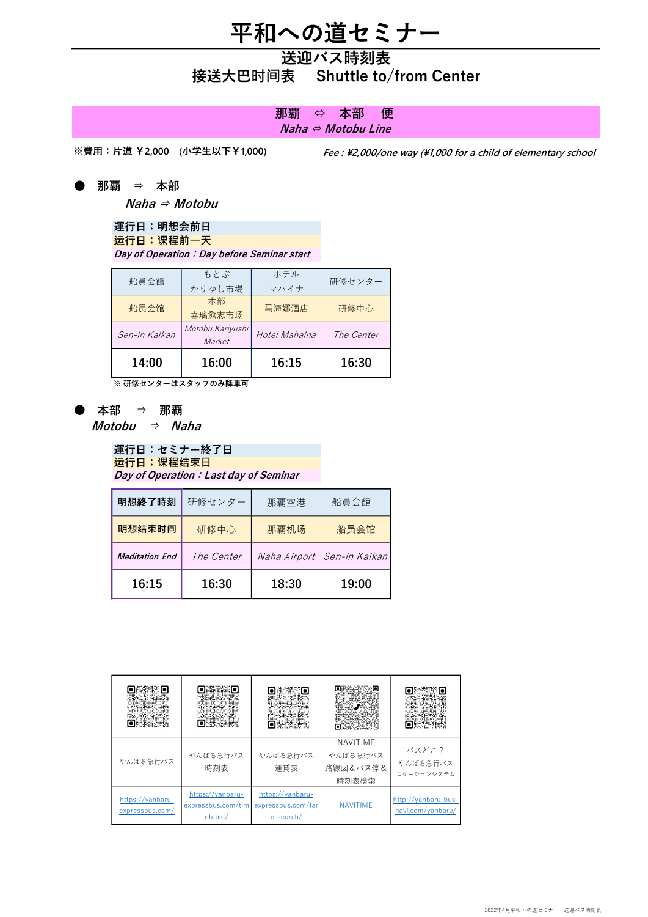# 平和への道セミナー

## 送迎バス時刻表 接送大巴时间表 Shuttle to/from Center

### Naha ⇔ Motobu Line 那覇 ⇔ 本部 便

※費用:片道 ¥2,000 (小学生以下¥1,000)

Fee : \2,000/one way (\1,000 for a child of elementary school

● 那覇 ⇒ 本部

Naha ⇒ Motobu

#### 運行日:明想会前日 运行日:课程前一天

Day of Operation: Day before Seminar start

| 船員会館          | もとぶ<br>かりゆし市場              | ホテル<br>マハイナ   | 研修センター     |
|---------------|----------------------------|---------------|------------|
| 船员会馆          | 本部<br>喜璃愈志市场               | 马海娜酒店         | 研修中心       |
| Sen-in Kaikan | Motobu Kariyushi<br>Market | Hotel Mahaina | The Center |
| 14:00         | 16:00                      | 16:15         | 16:30      |

※ 研修センターはスタッフのみ降車可

● 本部 ⇒ 那覇

 $$ 

#### 運行日:セミナー終了日 运行日:课程结束日 Day of Operation: Last day of Seminar

| 16:15                 | 16:30      | 18:30        | 19:00         |  |
|-----------------------|------------|--------------|---------------|--|
| <b>Meditation End</b> | The Center | Naha Airport | Sen-in Kaikan |  |
| 明想结束时间                | 研修中心       | 那覇机场         | 船员会馆          |  |
| 明想終了時刻                | 研修センター     | 那覇空港         | 船員会館          |  |

|                                     |                                                   |                                                     |                                           | 5316                                     |
|-------------------------------------|---------------------------------------------------|-----------------------------------------------------|-------------------------------------------|------------------------------------------|
| やんばる急行バス                            | やんばる急行バス<br>時刻表                                   | やんばる急行バス<br>運賃表                                     | NAVITIME<br>やんばる急行バス<br>路線図&バス停&<br>時刻表検索 | バスどこ?<br>やんばる急行バス<br>ロケーションシステム          |
| https://yanbaru-<br>expressbus.com/ | https://yanbaru-<br>expressbus.com/tim<br>etable/ | https://yanbaru-<br>expressbus.com/far<br>e-search/ | <b>NAVITIME</b>                           | http://yanbaru-bus-<br>navi.com/yanbaru/ |